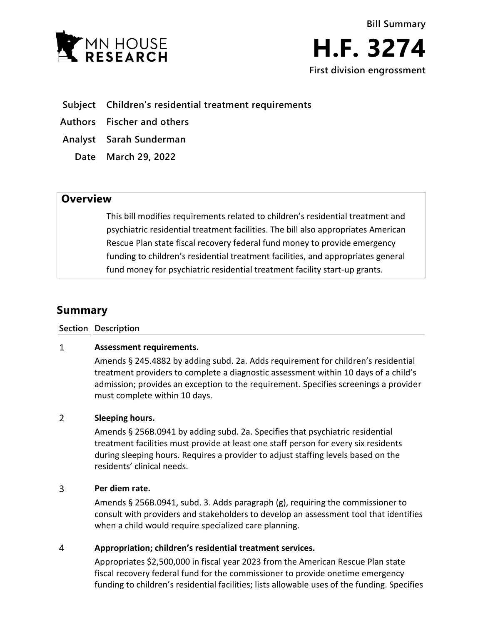

## **Subject Children's residential treatment requirements**

**Authors Fischer and others**

**Analyst Sarah Sunderman**

**Date March 29, 2022**

# **Overview**

This bill modifies requirements related to children's residential treatment and psychiatric residential treatment facilities. The bill also appropriates American Rescue Plan state fiscal recovery federal fund money to provide emergency funding to children's residential treatment facilities, and appropriates general fund money for psychiatric residential treatment facility start-up grants.

# **Summary**

### **Section Description**

#### $\mathbf{1}$ **Assessment requirements.**

Amends § 245.4882 by adding subd. 2a. Adds requirement for children's residential treatment providers to complete a diagnostic assessment within 10 days of a child's admission; provides an exception to the requirement. Specifies screenings a provider must complete within 10 days.

#### $\overline{2}$ **Sleeping hours.**

Amends § 256B.0941 by adding subd. 2a. Specifies that psychiatric residential treatment facilities must provide at least one staff person for every six residents during sleeping hours. Requires a provider to adjust staffing levels based on the residents' clinical needs.

#### 3 **Per diem rate.**

Amends § 256B.0941, subd. 3. Adds paragraph (g), requiring the commissioner to consult with providers and stakeholders to develop an assessment tool that identifies when a child would require specialized care planning.

#### $\overline{4}$ **Appropriation; children's residential treatment services.**

Appropriates \$2,500,000 in fiscal year 2023 from the American Rescue Plan state fiscal recovery federal fund for the commissioner to provide onetime emergency funding to children's residential facilities; lists allowable uses of the funding. Specifies